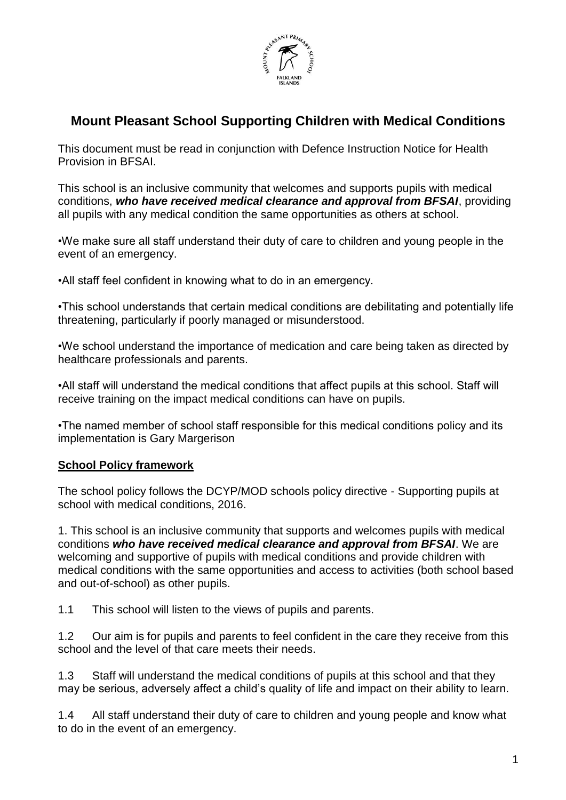

# **Mount Pleasant School Supporting Children with Medical Conditions**

This document must be read in conjunction with Defence Instruction Notice for Health Provision in BFSAI.

This school is an inclusive community that welcomes and supports pupils with medical conditions, *who have received medical clearance and approval from BFSAI*, providing all pupils with any medical condition the same opportunities as others at school.

•We make sure all staff understand their duty of care to children and young people in the event of an emergency.

•All staff feel confident in knowing what to do in an emergency.

•This school understands that certain medical conditions are debilitating and potentially life threatening, particularly if poorly managed or misunderstood.

•We school understand the importance of medication and care being taken as directed by healthcare professionals and parents.

•All staff will understand the medical conditions that affect pupils at this school. Staff will receive training on the impact medical conditions can have on pupils.

•The named member of school staff responsible for this medical conditions policy and its implementation is Gary Margerison

### **School Policy framework**

The school policy follows the DCYP/MOD schools policy directive - Supporting pupils at school with medical conditions, 2016.

1. This school is an inclusive community that supports and welcomes pupils with medical conditions *who have received medical clearance and approval from BFSAI*. We are welcoming and supportive of pupils with medical conditions and provide children with medical conditions with the same opportunities and access to activities (both school based and out-of-school) as other pupils.

1.1 This school will listen to the views of pupils and parents.

1.2 Our aim is for pupils and parents to feel confident in the care they receive from this school and the level of that care meets their needs.

1.3 Staff will understand the medical conditions of pupils at this school and that they may be serious, adversely affect a child's quality of life and impact on their ability to learn.

1.4 All staff understand their duty of care to children and young people and know what to do in the event of an emergency.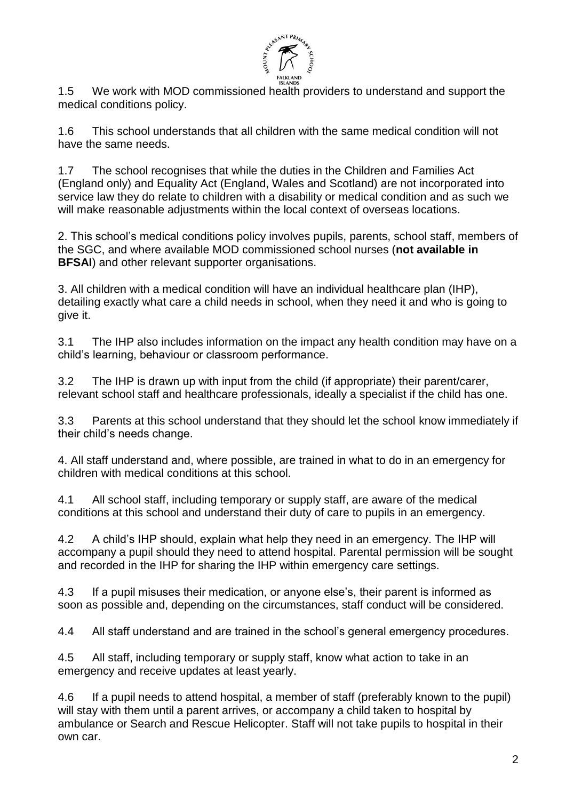

1.5 We work with MOD commissioned health providers to understand and support the medical conditions policy.

1.6 This school understands that all children with the same medical condition will not have the same needs.

1.7 The school recognises that while the duties in the Children and Families Act (England only) and Equality Act (England, Wales and Scotland) are not incorporated into service law they do relate to children with a disability or medical condition and as such we will make reasonable adjustments within the local context of overseas locations.

2. This school's medical conditions policy involves pupils, parents, school staff, members of the SGC, and where available MOD commissioned school nurses (**not available in BFSAI**) and other relevant supporter organisations.

3. All children with a medical condition will have an individual healthcare plan (IHP), detailing exactly what care a child needs in school, when they need it and who is going to give it.

3.1 The IHP also includes information on the impact any health condition may have on a child's learning, behaviour or classroom performance.

3.2 The IHP is drawn up with input from the child (if appropriate) their parent/carer, relevant school staff and healthcare professionals, ideally a specialist if the child has one.

3.3 Parents at this school understand that they should let the school know immediately if their child's needs change.

4. All staff understand and, where possible, are trained in what to do in an emergency for children with medical conditions at this school.

4.1 All school staff, including temporary or supply staff, are aware of the medical conditions at this school and understand their duty of care to pupils in an emergency.

4.2 A child's IHP should, explain what help they need in an emergency. The IHP will accompany a pupil should they need to attend hospital. Parental permission will be sought and recorded in the IHP for sharing the IHP within emergency care settings.

4.3 If a pupil misuses their medication, or anyone else's, their parent is informed as soon as possible and, depending on the circumstances, staff conduct will be considered.

4.4 All staff understand and are trained in the school's general emergency procedures.

4.5 All staff, including temporary or supply staff, know what action to take in an emergency and receive updates at least yearly.

4.6 If a pupil needs to attend hospital, a member of staff (preferably known to the pupil) will stay with them until a parent arrives, or accompany a child taken to hospital by ambulance or Search and Rescue Helicopter. Staff will not take pupils to hospital in their own car.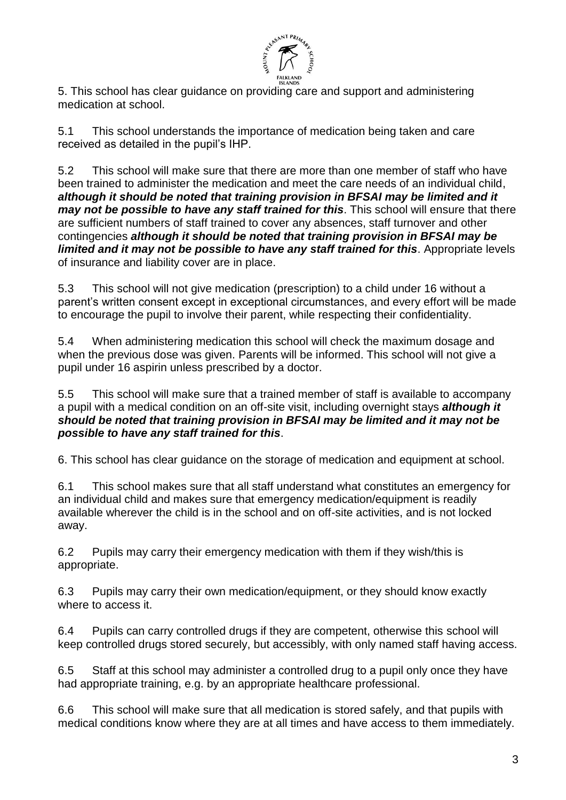

5. This school has clear guidance on providing care and support and administering medication at school.

5.1 This school understands the importance of medication being taken and care received as detailed in the pupil's IHP.

5.2 This school will make sure that there are more than one member of staff who have been trained to administer the medication and meet the care needs of an individual child, *although it should be noted that training provision in BFSAI may be limited and it may not be possible to have any staff trained for this*. This school will ensure that there are sufficient numbers of staff trained to cover any absences, staff turnover and other contingencies *although it should be noted that training provision in BFSAI may be limited and it may not be possible to have any staff trained for this*. Appropriate levels of insurance and liability cover are in place.

5.3 This school will not give medication (prescription) to a child under 16 without a parent's written consent except in exceptional circumstances, and every effort will be made to encourage the pupil to involve their parent, while respecting their confidentiality.

5.4 When administering medication this school will check the maximum dosage and when the previous dose was given. Parents will be informed. This school will not give a pupil under 16 aspirin unless prescribed by a doctor.

5.5 This school will make sure that a trained member of staff is available to accompany a pupil with a medical condition on an off-site visit, including overnight stays *although it should be noted that training provision in BFSAI may be limited and it may not be possible to have any staff trained for this*.

6. This school has clear guidance on the storage of medication and equipment at school.

6.1 This school makes sure that all staff understand what constitutes an emergency for an individual child and makes sure that emergency medication/equipment is readily available wherever the child is in the school and on off-site activities, and is not locked away.

6.2 Pupils may carry their emergency medication with them if they wish/this is appropriate.

6.3 Pupils may carry their own medication/equipment, or they should know exactly where to access it.

6.4 Pupils can carry controlled drugs if they are competent, otherwise this school will keep controlled drugs stored securely, but accessibly, with only named staff having access.

6.5 Staff at this school may administer a controlled drug to a pupil only once they have had appropriate training, e.g. by an appropriate healthcare professional.

6.6 This school will make sure that all medication is stored safely, and that pupils with medical conditions know where they are at all times and have access to them immediately.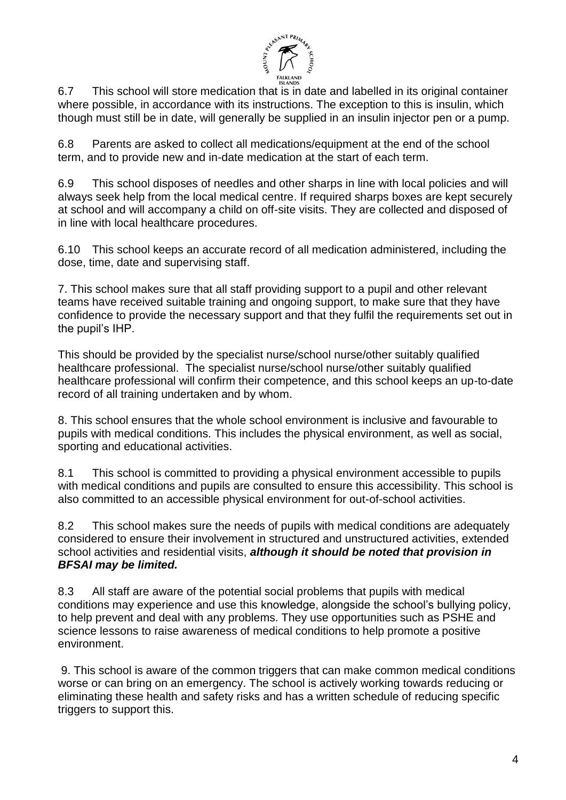

6.7 This school will store medication that is in date and labelled in its original container where possible, in accordance with its instructions. The exception to this is insulin, which though must still be in date, will generally be supplied in an insulin injector pen or a pump.

6.8 Parents are asked to collect all medications/equipment at the end of the school term, and to provide new and in-date medication at the start of each term.

6.9 This school disposes of needles and other sharps in line with local policies and will always seek help from the local medical centre. If required sharps boxes are kept securely at school and will accompany a child on off-site visits. They are collected and disposed of in line with local healthcare procedures.

6.10 This school keeps an accurate record of all medication administered, including the dose, time, date and supervising staff.

7. This school makes sure that all staff providing support to a pupil and other relevant teams have received suitable training and ongoing support, to make sure that they have confidence to provide the necessary support and that they fulfil the requirements set out in the pupil's IHP.

This should be provided by the specialist nurse/school nurse/other suitably qualified healthcare professional. The specialist nurse/school nurse/other suitably qualified healthcare professional will confirm their competence, and this school keeps an up-to-date record of all training undertaken and by whom.

8. This school ensures that the whole school environment is inclusive and favourable to pupils with medical conditions. This includes the physical environment, as well as social, sporting and educational activities.

8.1 This school is committed to providing a physical environment accessible to pupils with medical conditions and pupils are consulted to ensure this accessibility. This school is also committed to an accessible physical environment for out-of-school activities.

8.2 This school makes sure the needs of pupils with medical conditions are adequately considered to ensure their involvement in structured and unstructured activities, extended school activities and residential visits, *although it should be noted that provision in BFSAI may be limited.*

8.3 All staff are aware of the potential social problems that pupils with medical conditions may experience and use this knowledge, alongside the school's bullying policy, to help prevent and deal with any problems. They use opportunities such as PSHE and science lessons to raise awareness of medical conditions to help promote a positive environment.

9. This school is aware of the common triggers that can make common medical conditions worse or can bring on an emergency. The school is actively working towards reducing or eliminating these health and safety risks and has a written schedule of reducing specific triggers to support this.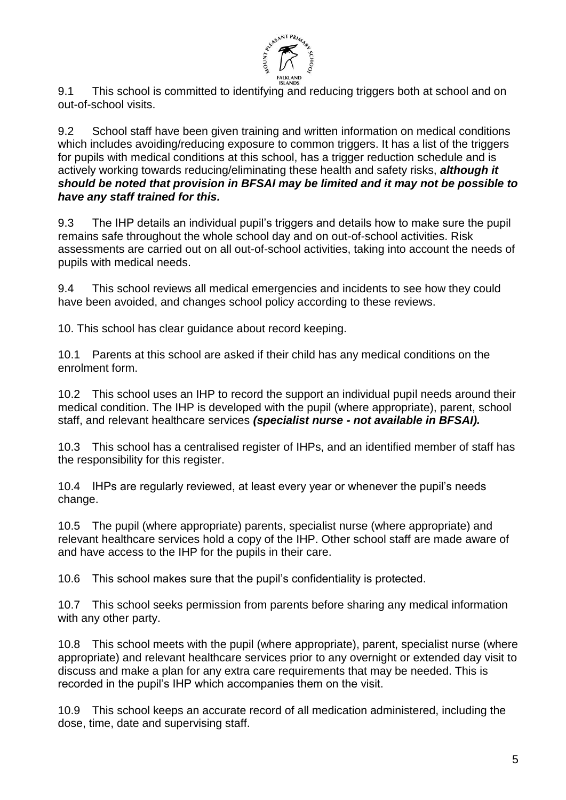

9.1 This school is committed to identifying and reducing triggers both at school and on out-of-school visits.

9.2 School staff have been given training and written information on medical conditions which includes avoiding/reducing exposure to common triggers. It has a list of the triggers for pupils with medical conditions at this school, has a trigger reduction schedule and is actively working towards reducing/eliminating these health and safety risks, *although it should be noted that provision in BFSAI may be limited and it may not be possible to have any staff trained for this.*

9.3 The IHP details an individual pupil's triggers and details how to make sure the pupil remains safe throughout the whole school day and on out-of-school activities. Risk assessments are carried out on all out-of-school activities, taking into account the needs of pupils with medical needs.

9.4 This school reviews all medical emergencies and incidents to see how they could have been avoided, and changes school policy according to these reviews.

10. This school has clear guidance about record keeping.

10.1 Parents at this school are asked if their child has any medical conditions on the enrolment form.

10.2 This school uses an IHP to record the support an individual pupil needs around their medical condition. The IHP is developed with the pupil (where appropriate), parent, school staff, and relevant healthcare services *(specialist nurse - not available in BFSAI).*

10.3 This school has a centralised register of IHPs, and an identified member of staff has the responsibility for this register.

10.4 IHPs are regularly reviewed, at least every year or whenever the pupil's needs change.

10.5 The pupil (where appropriate) parents, specialist nurse (where appropriate) and relevant healthcare services hold a copy of the IHP. Other school staff are made aware of and have access to the IHP for the pupils in their care.

10.6 This school makes sure that the pupil's confidentiality is protected.

10.7 This school seeks permission from parents before sharing any medical information with any other party.

10.8 This school meets with the pupil (where appropriate), parent, specialist nurse (where appropriate) and relevant healthcare services prior to any overnight or extended day visit to discuss and make a plan for any extra care requirements that may be needed. This is recorded in the pupil's IHP which accompanies them on the visit.

10.9 This school keeps an accurate record of all medication administered, including the dose, time, date and supervising staff.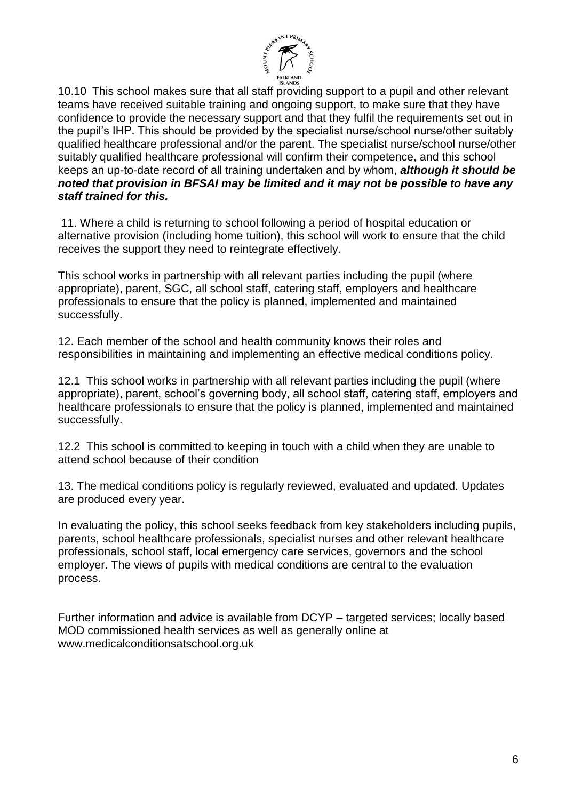

10.10 This school makes sure that all staff providing support to a pupil and other relevant teams have received suitable training and ongoing support, to make sure that they have confidence to provide the necessary support and that they fulfil the requirements set out in the pupil's IHP. This should be provided by the specialist nurse/school nurse/other suitably qualified healthcare professional and/or the parent. The specialist nurse/school nurse/other suitably qualified healthcare professional will confirm their competence, and this school keeps an up-to-date record of all training undertaken and by whom, *although it should be noted that provision in BFSAI may be limited and it may not be possible to have any staff trained for this.*

11. Where a child is returning to school following a period of hospital education or alternative provision (including home tuition), this school will work to ensure that the child receives the support they need to reintegrate effectively.

This school works in partnership with all relevant parties including the pupil (where appropriate), parent, SGC, all school staff, catering staff, employers and healthcare professionals to ensure that the policy is planned, implemented and maintained successfully.

12. Each member of the school and health community knows their roles and responsibilities in maintaining and implementing an effective medical conditions policy.

12.1 This school works in partnership with all relevant parties including the pupil (where appropriate), parent, school's governing body, all school staff, catering staff, employers and healthcare professionals to ensure that the policy is planned, implemented and maintained successfully.

12.2 This school is committed to keeping in touch with a child when they are unable to attend school because of their condition

13. The medical conditions policy is regularly reviewed, evaluated and updated. Updates are produced every year.

In evaluating the policy, this school seeks feedback from key stakeholders including pupils, parents, school healthcare professionals, specialist nurses and other relevant healthcare professionals, school staff, local emergency care services, governors and the school employer. The views of pupils with medical conditions are central to the evaluation process.

Further information and advice is available from DCYP – targeted services; locally based MOD commissioned health services as well as generally online at www.medicalconditionsatschool.org.uk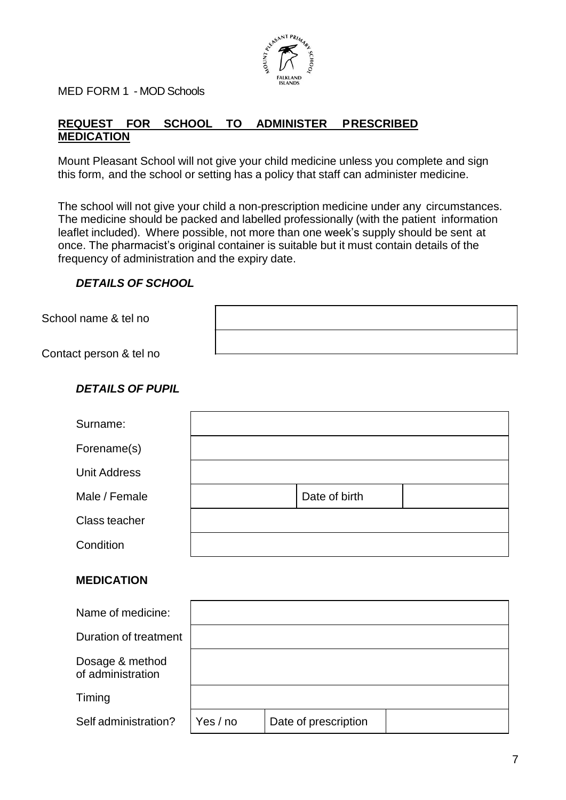

MED FORM 1 - MOD Schools

# **REQUEST FOR SCHOOL TO ADMINISTER PRESCRIBED MEDICATION**

Mount Pleasant School will not give your child medicine unless you complete and sign this form, and the school or setting has a policy that staff can administer medicine.

The school will not give your child a non-prescription medicine under any circumstances. The medicine should be packed and labelled professionally (with the patient information leaflet included). Where possible, not more than one week's supply should be sent at once. The pharmacist's original container is suitable but it must contain details of the frequency of administration and the expiry date.

### *DETAILS OF SCHOOL*

School name & tel no

Contact person & tel no

## *DETAILS OF PUPIL*

| Surname:            |               |  |
|---------------------|---------------|--|
| Forename(s)         |               |  |
| <b>Unit Address</b> |               |  |
| Male / Female       | Date of birth |  |
| Class teacher       |               |  |
| Condition           |               |  |
|                     |               |  |

### **MEDICATION**

| Name of medicine:                    |          |                      |  |
|--------------------------------------|----------|----------------------|--|
| Duration of treatment                |          |                      |  |
| Dosage & method<br>of administration |          |                      |  |
| Timing                               |          |                      |  |
| Self administration?                 | Yes / no | Date of prescription |  |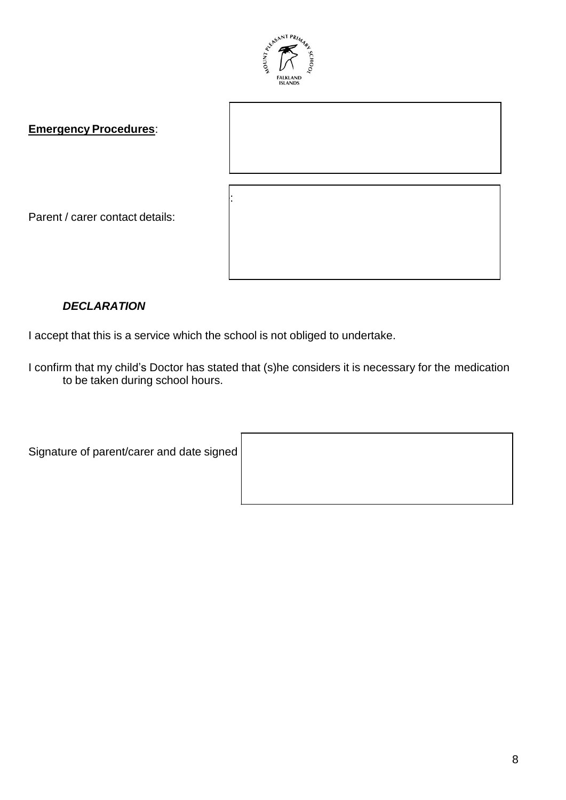

**Emergency Procedures**:

Name:

## *DECLARATION*

Parent / carer contact details:

I accept that this is a service which the school is not obliged to undertake.

I confirm that my child's Doctor has stated that (s)he considers it is necessary for the medication to be taken during school hours.

Signature of parent/carer and date signed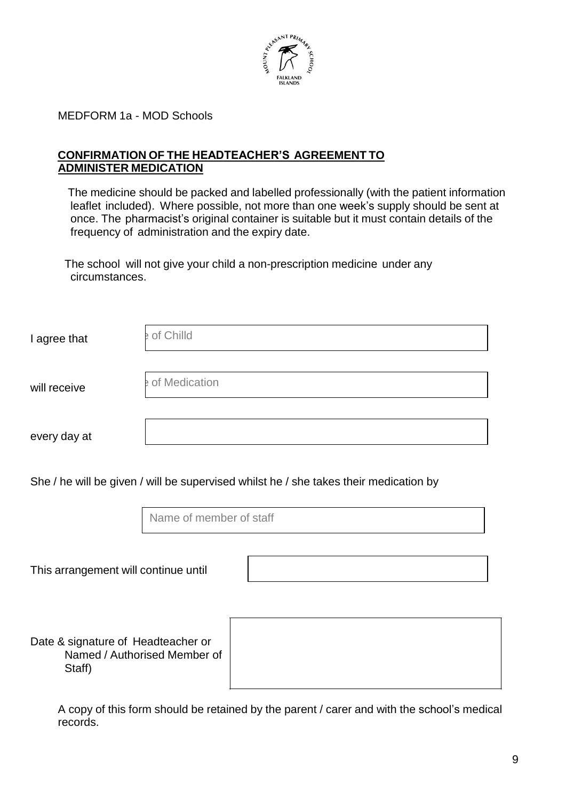

MEDFORM 1a - MOD Schools

#### **CONFIRMATION OF THE HEADTEACHER'S AGREEMENT TO ADMINISTER MEDICATION**

 The medicine should be packed and labelled professionally (with the patient information leaflet included). Where possible, not more than one week's supply should be sent at once. The pharmacist's original container is suitable but it must contain details of the frequency of administration and the expiry date.

The school will not give your child a non-prescription medicine under any circumstances.

| I agree that | e of Chilld     |
|--------------|-----------------|
| will receive | e of Medication |
| every day at |                 |

She / he will be given / will be supervised whilst he / she takes their medication by

Name of member of staff

This arrangement will continue until

Date & signature of Headteacher or Named / Authorised Member of Staff)



A copy of this form should be retained by the parent / carer and with the school's medical records.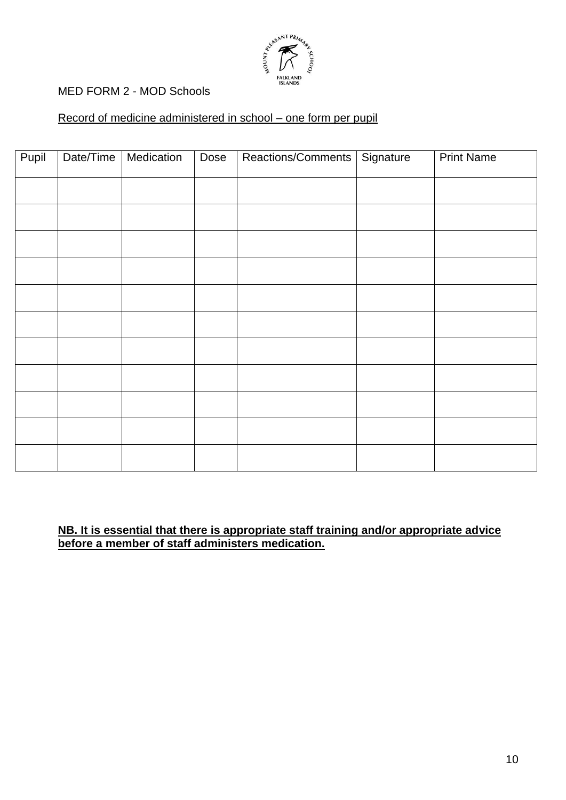

## MED FORM 2 - MOD Schools

### Record of medicine administered in school – one form per pupil

| Pupil | Date/Time | Medication | Dose | Reactions/Comments   Signature | <b>Print Name</b> |
|-------|-----------|------------|------|--------------------------------|-------------------|
|       |           |            |      |                                |                   |
|       |           |            |      |                                |                   |
|       |           |            |      |                                |                   |
|       |           |            |      |                                |                   |
|       |           |            |      |                                |                   |
|       |           |            |      |                                |                   |
|       |           |            |      |                                |                   |
|       |           |            |      |                                |                   |
|       |           |            |      |                                |                   |
|       |           |            |      |                                |                   |
|       |           |            |      |                                |                   |

#### **NB. It is essential that there is appropriate staff training and/or appropriate advice before a member of staff administers medication.**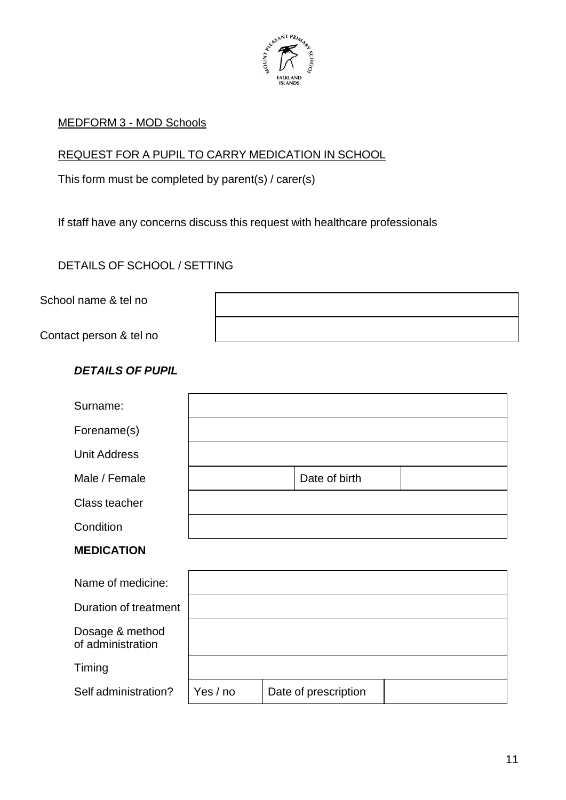

### MEDFORM 3 - MOD Schools

# REQUEST FOR A PUPIL TO CARRY MEDICATION IN SCHOOL

This form must be completed by parent(s) / carer(s)

If staff have any concerns discuss this request with healthcare professionals

DETAILS OF SCHOOL / SETTING

School name & tel no

Contact person & tel no

## *DETAILS OF PUPIL*

| Surname:                             |          |                      |  |
|--------------------------------------|----------|----------------------|--|
| Forename(s)                          |          |                      |  |
| <b>Unit Address</b>                  |          |                      |  |
| Male / Female                        |          | Date of birth        |  |
| Class teacher                        |          |                      |  |
| Condition                            |          |                      |  |
| <b>MEDICATION</b>                    |          |                      |  |
| Name of medicine:                    |          |                      |  |
| Duration of treatment                |          |                      |  |
| Dosage & method<br>of administration |          |                      |  |
| Timing                               |          |                      |  |
| Self administration?                 | Yes / no | Date of prescription |  |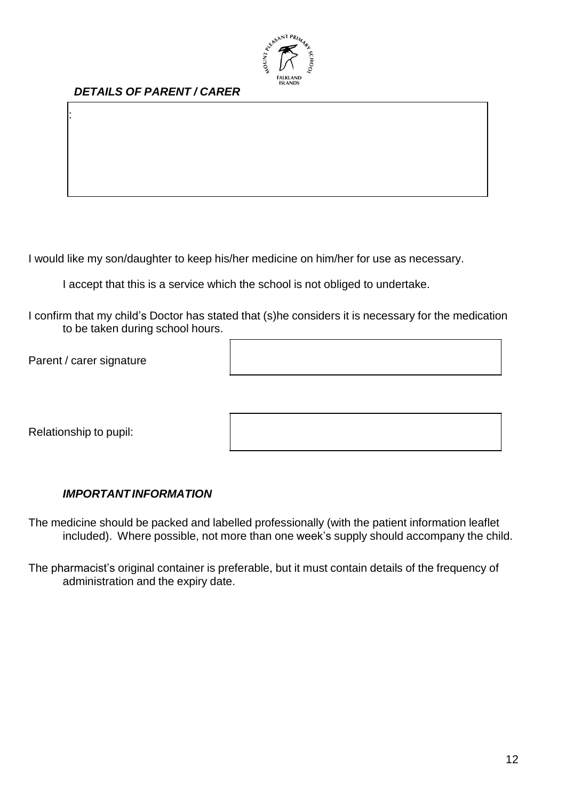

# *DETAILS OF PARENT / CARER*

I would like my son/daughter to keep his/her medicine on him/her for use as necessary.

I accept that this is a service which the school is not obliged to undertake.

I confirm that my child's Doctor has stated that (s)he considers it is necessary for the medication to be taken during school hours.

Parent / carer signature

Name:

Relationship to pupil:

#### *IMPORTANTINFORMATION*

The medicine should be packed and labelled professionally (with the patient information leaflet included). Where possible, not more than one week's supply should accompany the child.

The pharmacist's original container is preferable, but it must contain details of the frequency of administration and the expiry date.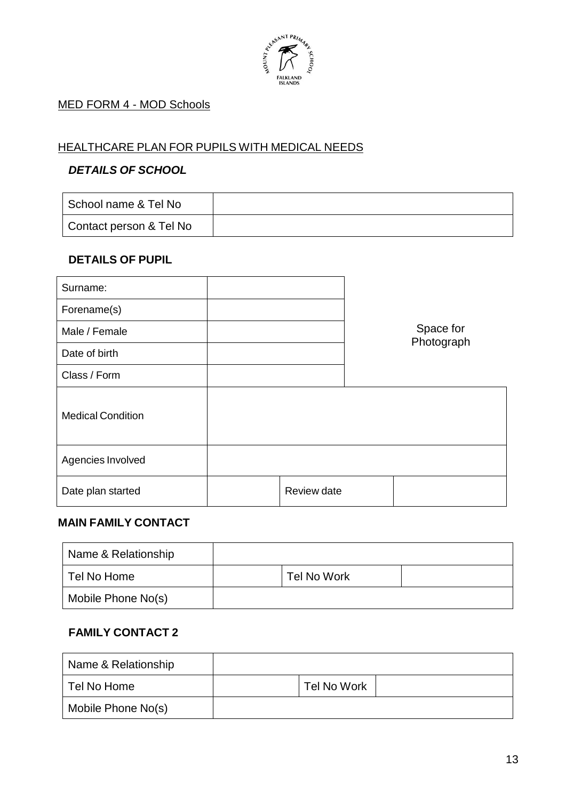

# MED FORM 4 - MOD Schools

# HEALTHCARE PLAN FOR PUPILS WITH MEDICAL NEEDS

### *DETAILS OF SCHOOL*

| School name & Tel No    |  |
|-------------------------|--|
| Contact person & Tel No |  |

### **DETAILS OF PUPIL**

| Surname:                 |             |                         |
|--------------------------|-------------|-------------------------|
| Forename(s)              |             |                         |
| Male / Female            |             | Space for<br>Photograph |
| Date of birth            |             |                         |
| Class / Form             |             |                         |
| <b>Medical Condition</b> |             |                         |
| Agencies Involved        |             |                         |
| Date plan started        | Review date |                         |

### **MAIN FAMILY CONTACT**

| Name & Relationship |             |  |
|---------------------|-------------|--|
| Tel No Home         | Tel No Work |  |
| Mobile Phone No(s)  |             |  |

# **FAMILY CONTACT 2**

| Name & Relationship |             |  |
|---------------------|-------------|--|
| Tel No Home         | Tel No Work |  |
| Mobile Phone No(s)  |             |  |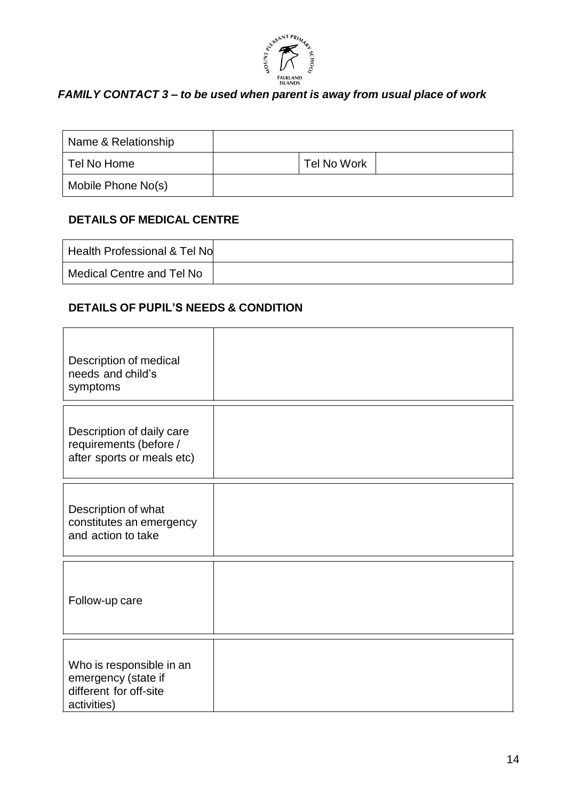

# *FAMILY CONTACT 3 – to be used when parent is away from usual place of work*

| Name & Relationship |             |  |
|---------------------|-------------|--|
| Tel No Home         | Tel No Work |  |
| Mobile Phone No(s)  |             |  |

# **DETAILS OF MEDICAL CENTRE**

| Health Professional & Tel No |  |
|------------------------------|--|
| Medical Centre and Tel No    |  |

# **DETAILS OF PUPIL'S NEEDS & CONDITION**

| Description of medical<br>needs and child's<br>symptoms                                  |  |
|------------------------------------------------------------------------------------------|--|
| Description of daily care<br>requirements (before /<br>after sports or meals etc)        |  |
| Description of what<br>constitutes an emergency<br>and action to take                    |  |
| Follow-up care                                                                           |  |
| Who is responsible in an<br>emergency (state if<br>different for off-site<br>activities) |  |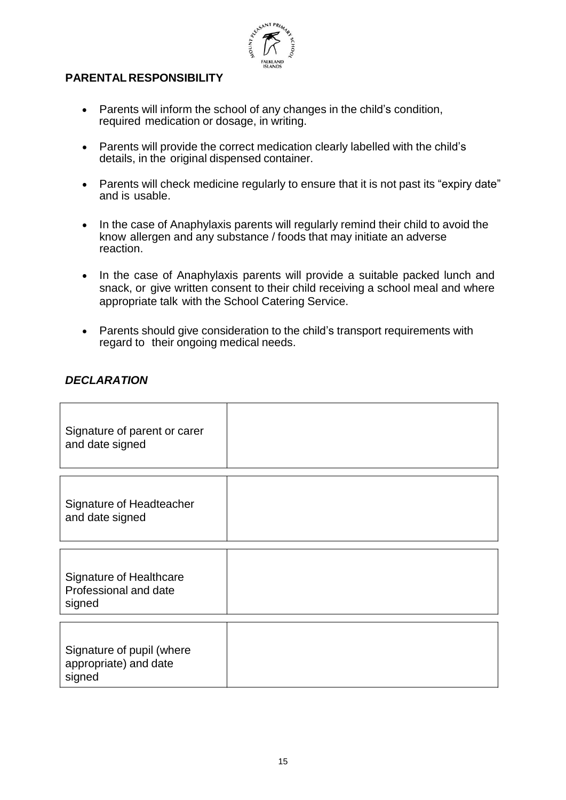

### **PARENTAL RESPONSIBILITY**

- Parents will inform the school of any changes in the child's condition, required medication or dosage, in writing.
- Parents will provide the correct medication clearly labelled with the child's details, in the original dispensed container.
- Parents will check medicine regularly to ensure that it is not past its "expiry date" and is usable.
- In the case of Anaphylaxis parents will regularly remind their child to avoid the know allergen and any substance / foods that may initiate an adverse reaction.
- In the case of Anaphylaxis parents will provide a suitable packed lunch and snack, or give written consent to their child receiving a school meal and where appropriate talk with the School Catering Service.
- Parents should give consideration to the child's transport requirements with regard to their ongoing medical needs.

#### *DECLARATION*

| Signature of parent or carer<br>and date signed                   |  |
|-------------------------------------------------------------------|--|
| Signature of Headteacher<br>and date signed                       |  |
| <b>Signature of Healthcare</b><br>Professional and date<br>signed |  |
| Signature of pupil (where<br>appropriate) and date<br>signed      |  |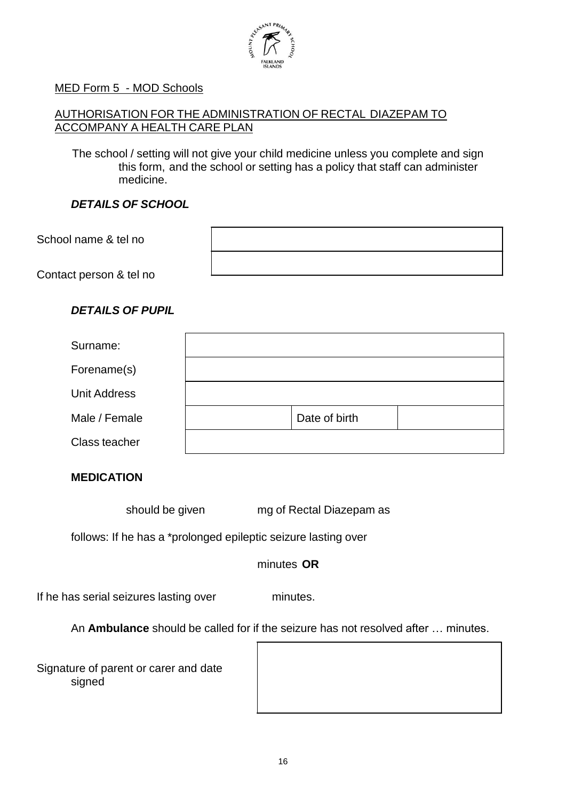

#### MED Form 5 - MOD Schools

### AUTHORISATION FOR THE ADMINISTRATION OF RECTAL DIAZEPAM TO ACCOMPANY A HEALTH CARE PLAN

The school / setting will not give your child medicine unless you complete and sign this form, and the school or setting has a policy that staff can administer medicine.

### *DETAILS OF SCHOOL*

| School name & tel no    |  |
|-------------------------|--|
| Contact person & tel no |  |

#### *DETAILS OF PUPIL*

| Surname:            |               |  |
|---------------------|---------------|--|
| Forename(s)         |               |  |
| <b>Unit Address</b> |               |  |
| Male / Female       | Date of birth |  |
| Class teacher       |               |  |

#### **MEDICATION**

should be given mg of Rectal Diazepam as

follows: If he has a \*prolonged epileptic seizure lasting over

minutes **OR**

If he has serial seizures lasting over minutes.

An **Ambulance** should be called for if the seizure has not resolved after … minutes.

Signature of parent or carer and date signed